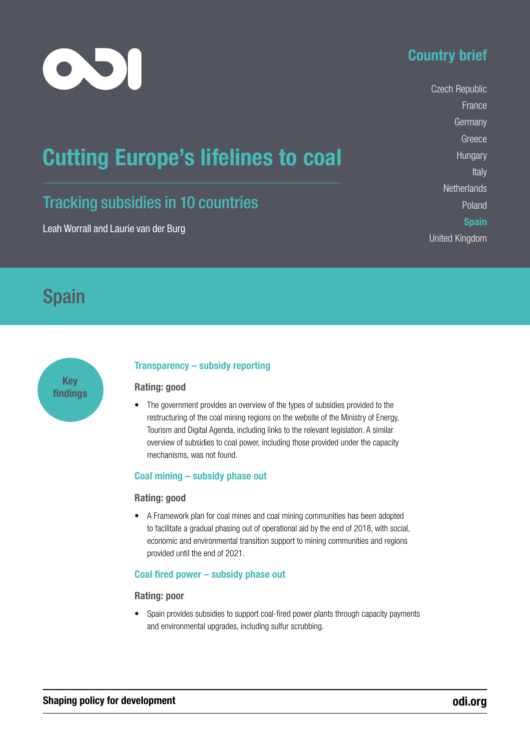

# Country brief

Czech Republic France **Germany** Greece **Hungary** Italy **Netherlands** Poland **Spain** United Kingdom

# Cutting Europe's lifelines to coal

# Tracking subsidies in 10 countries

Leah Worrall and Laurie van der Burg

# Spain



### Transparency – subsidy reporting

#### Rating: good

• The government provides an overview of the types of subsidies provided to the restructuring of the coal mining regions on the website of the Ministry of Energy, Tourism and Digital Agenda, including links to the relevant legislation. A similar overview of subsidies to coal power, including those provided under the capacity mechanisms, was not found.

#### Coal mining – subsidy phase out

#### Rating: good

• A Framework plan for coal mines and coal mining communities has been adopted to facilitate a gradual phasing out of operational aid by the end of 2018, with social, economic and environmental transition support to mining communities and regions provided until the end of 2021.

#### Coal fired power – subsidy phase out

#### Rating: poor

• Spain provides subsidies to support coal-fired power plants through capacity payments and environmental upgrades, including sulfur scrubbing.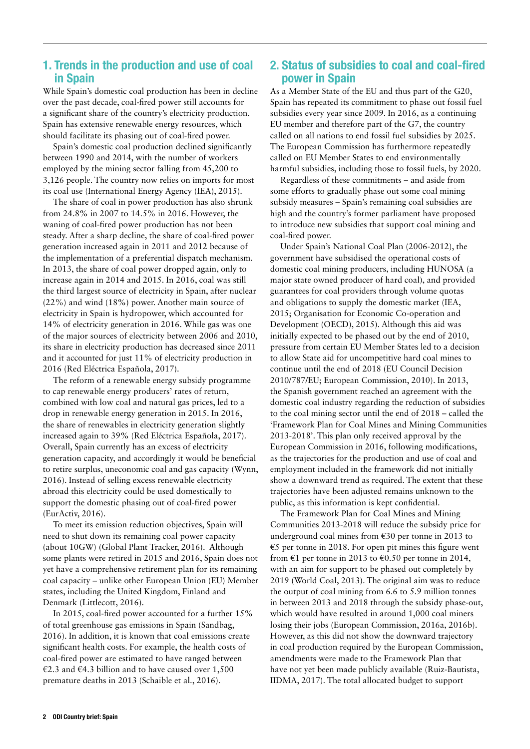### 1. Trends in the production and use of coal in Spain

While Spain's domestic coal production has been in decline over the past decade, coal-fired power still accounts for a significant share of the country's electricity production. Spain has extensive renewable energy resources, which should facilitate its phasing out of coal-fired power.

Spain's domestic coal production declined significantly between 1990 and 2014, with the number of workers employed by the mining sector falling from 45,200 to 3,126 people. The country now relies on imports for most its coal use (International Energy Agency (IEA), 2015).

The share of coal in power production has also shrunk from 24.8% in 2007 to 14.5% in 2016. However, the waning of coal-fired power production has not been steady. After a sharp decline, the share of coal-fired power generation increased again in 2011 and 2012 because of the implementation of a preferential dispatch mechanism. In 2013, the share of coal power dropped again, only to increase again in 2014 and 2015. In 2016, coal was still the third largest source of electricity in Spain, after nuclear (22%) and wind (18%) power. Another main source of electricity in Spain is hydropower, which accounted for 14% of electricity generation in 2016. While gas was one of the major sources of electricity between 2006 and 2010, its share in electricity production has decreased since 2011 and it accounted for just 11% of electricity production in 2016 (Red Eléctrica Española, 2017).

The reform of a renewable energy subsidy programme to cap renewable energy producers' rates of return, combined with low coal and natural gas prices, led to a drop in renewable energy generation in 2015. In 2016, the share of renewables in electricity generation slightly increased again to 39% (Red Eléctrica Española, 2017). Overall, Spain currently has an excess of electricity generation capacity, and accordingly it would be beneficial to retire surplus, uneconomic coal and gas capacity (Wynn, 2016). Instead of selling excess renewable electricity abroad this electricity could be used domestically to support the domestic phasing out of coal-fired power (EurActiv, 2016).

To meet its emission reduction objectives, Spain will need to shut down its remaining coal power capacity (about 10GW) (Global Plant Tracker, 2016). Although some plants were retired in 2015 and 2016, Spain does not yet have a comprehensive retirement plan for its remaining coal capacity – unlike other European Union (EU) Member states, including the United Kingdom, Finland and Denmark (Littlecott, 2016).

In 2015, coal-fired power accounted for a further 15% of total greenhouse gas emissions in Spain (Sandbag, 2016). In addition, it is known that coal emissions create significant health costs. For example, the health costs of coal-fired power are estimated to have ranged between €2.3 and €4.3 billion and to have caused over 1,500 premature deaths in 2013 (Schaible et al., 2016).

### 2. Status of subsidies to coal and coal-fired power in Spain

As a Member State of the EU and thus part of the G20, Spain has repeated its commitment to phase out fossil fuel subsidies every year since 2009. In 2016, as a continuing EU member and therefore part of the G7, the country called on all nations to end fossil fuel subsidies by 2025. The European Commission has furthermore repeatedly called on EU Member States to end environmentally harmful subsidies, including those to fossil fuels, by 2020.

Regardless of these commitments – and aside from some efforts to gradually phase out some coal mining subsidy measures – Spain's remaining coal subsidies are high and the country's former parliament have proposed to introduce new subsidies that support coal mining and coal-fired power.

Under Spain's National Coal Plan (2006-2012), the government have subsidised the operational costs of domestic coal mining producers, including HUNOSA (a major state owned producer of hard coal), and provided guarantees for coal providers through volume quotas and obligations to supply the domestic market (IEA, 2015; Organisation for Economic Co-operation and Development (OECD), 2015). Although this aid was initially expected to be phased out by the end of 2010, pressure from certain EU Member States led to a decision to allow State aid for uncompetitive hard coal mines to continue until the end of 2018 (EU Council Decision 2010/787/EU; European Commission, 2010). In 2013, the Spanish government reached an agreement with the domestic coal industry regarding the reduction of subsidies to the coal mining sector until the end of 2018 – called the 'Framework Plan for Coal Mines and Mining Communities 2013-2018'. This plan only received approval by the European Commission in 2016, following modifications, as the trajectories for the production and use of coal and employment included in the framework did not initially show a downward trend as required. The extent that these trajectories have been adjusted remains unknown to the public, as this information is kept confidential.

The Framework Plan for Coal Mines and Mining Communities 2013-2018 will reduce the subsidy price for underground coal mines from €30 per tonne in 2013 to €5 per tonne in 2018. For open pit mines this figure went from  $\epsilon$ 1 per tonne in 2013 to  $\epsilon$ 0.50 per tonne in 2014, with an aim for support to be phased out completely by 2019 (World Coal, 2013). The original aim was to reduce the output of coal mining from 6.6 to 5.9 million tonnes in between 2013 and 2018 through the subsidy phase-out, which would have resulted in around 1,000 coal miners losing their jobs (European Commission, 2016a, 2016b). However, as this did not show the downward trajectory in coal production required by the European Commission, amendments were made to the Framework Plan that have not yet been made publicly available (Ruiz-Bautista, IIDMA, 2017). The total allocated budget to support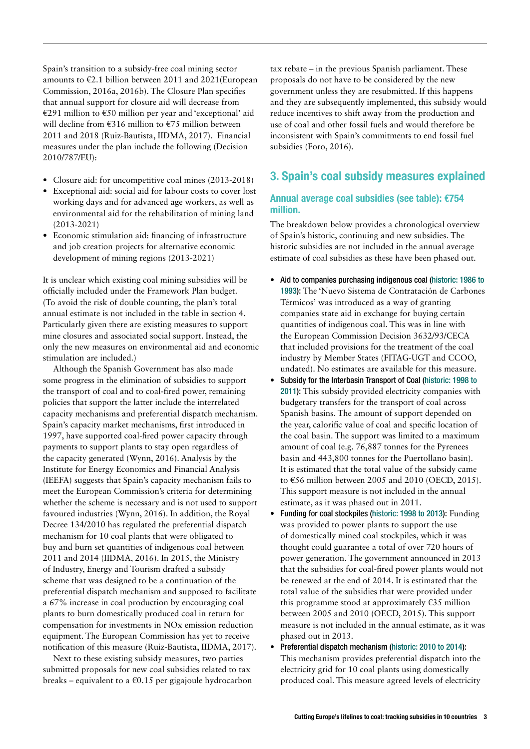Spain's transition to a subsidy-free coal mining sector amounts to  $\epsilon$ 2.1 billion between 2011 and 2021(European Commission, 2016a, 2016b). The Closure Plan specifies that annual support for closure aid will decrease from €291 million to €50 million per year and 'exceptional' aid will decline from €316 million to €75 million between 2011 and 2018 (Ruiz-Bautista, IIDMA, 2017). Financial measures under the plan include the following (Decision 2010/787/EU):

- **•** Closure aid: for uncompetitive coal mines (2013-2018)
- **•** Exceptional aid: social aid for labour costs to cover lost working days and for advanced age workers, as well as environmental aid for the rehabilitation of mining land (2013-2021)
- **•** Economic stimulation aid: financing of infrastructure and job creation projects for alternative economic development of mining regions (2013-2021)

It is unclear which existing coal mining subsidies will be officially included under the Framework Plan budget. (To avoid the risk of double counting, the plan's total annual estimate is not included in the table in section 4. Particularly given there are existing measures to support mine closures and associated social support. Instead, the only the new measures on environmental aid and economic stimulation are included.)

Although the Spanish Government has also made some progress in the elimination of subsidies to support the transport of coal and to coal-fired power, remaining policies that support the latter include the interrelated capacity mechanisms and preferential dispatch mechanism. Spain's capacity market mechanisms, first introduced in 1997, have supported coal-fired power capacity through payments to support plants to stay open regardless of the capacity generated (Wynn, 2016). Analysis by the Institute for Energy Economics and Financial Analysis (IEEFA) suggests that Spain's capacity mechanism fails to meet the European Commission's criteria for determining whether the scheme is necessary and is not used to support favoured industries (Wynn, 2016). In addition, the Royal Decree 134/2010 has regulated the preferential dispatch mechanism for 10 coal plants that were obligated to buy and burn set quantities of indigenous coal between 2011 and 2014 (IIDMA, 2016). In 2015, the Ministry of Industry, Energy and Tourism drafted a subsidy scheme that was designed to be a continuation of the preferential dispatch mechanism and supposed to facilitate a 67% increase in coal production by encouraging coal plants to burn domestically produced coal in return for compensation for investments in NOx emission reduction equipment. The European Commission has yet to receive notification of this measure (Ruiz-Bautista, IIDMA, 2017).

Next to these existing subsidy measures, two parties submitted proposals for new coal subsidies related to tax breaks – equivalent to a  $\epsilon$ 0.15 per gigajoule hydrocarbon tax rebate – in the previous Spanish parliament. These proposals do not have to be considered by the new government unless they are resubmitted. If this happens and they are subsequently implemented, this subsidy would reduce incentives to shift away from the production and use of coal and other fossil fuels and would therefore be inconsistent with Spain's commitments to end fossil fuel subsidies (Foro, 2016).

## 3. Spain's coal subsidy measures explained

#### Annual average coal subsidies (see table): €754 million.

The breakdown below provides a chronological overview of Spain's historic, continuing and new subsidies. The historic subsidies are not included in the annual average estimate of coal subsidies as these have been phased out.

- **•** Aid to companies purchasing indigenous coal (historic: 1986 to 1993): The 'Nuevo Sistema de Contratación de Carbones Térmicos' was introduced as a way of granting companies state aid in exchange for buying certain quantities of indigenous coal. This was in line with the European Commission Decision 3632/93/CECA that included provisions for the treatment of the coal industry by Member States (FITAG-UGT and CCOO, undated). No estimates are available for this measure.
- **•** Subsidy for the Interbasin Transport of Coal (historic: 1998 to 2011): This subsidy provided electricity companies with budgetary transfers for the transport of coal across Spanish basins. The amount of support depended on the year, calorific value of coal and specific location of the coal basin. The support was limited to a maximum amount of coal (e.g. 76,887 tonnes for the Pyrenees basin and 443,800 tonnes for the Puertollano basin). It is estimated that the total value of the subsidy came to  $\epsilon$ 56 million between 2005 and 2010 (OECD, 2015). This support measure is not included in the annual estimate, as it was phased out in 2011.
- **•** Funding for coal stockpiles (historic: 1998 to 2013): Funding was provided to power plants to support the use of domestically mined coal stockpiles, which it was thought could guarantee a total of over 720 hours of power generation. The government announced in 2013 that the subsidies for coal-fired power plants would not be renewed at the end of 2014. It is estimated that the total value of the subsidies that were provided under this programme stood at approximately  $\epsilon$ 35 million between 2005 and 2010 (OECD, 2015). This support measure is not included in the annual estimate, as it was phased out in 2013.
- **•** Preferential dispatch mechanism (historic: 2010 to 2014): This mechanism provides preferential dispatch into the electricity grid for 10 coal plants using domestically produced coal. This measure agreed levels of electricity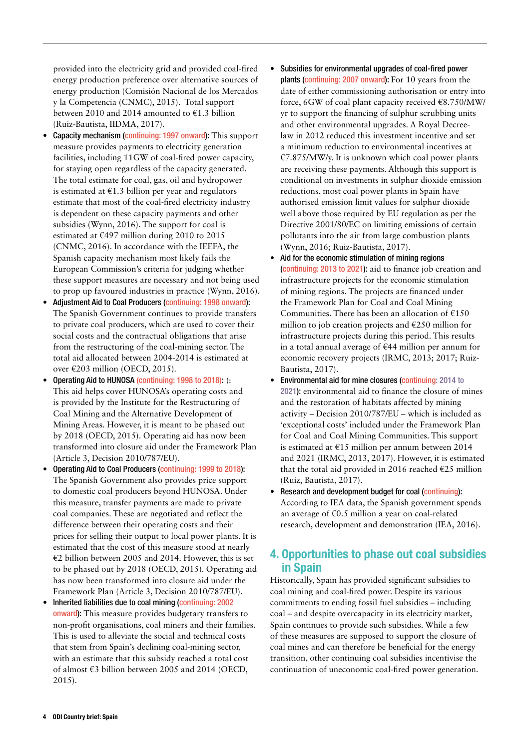provided into the electricity grid and provided coal-fired energy production preference over alternative sources of energy production (Comisión Nacional de los Mercados y la Competencia (CNMC), 2015). Total support between 2010 and 2014 amounted to €1.3 billion (Ruiz-Bautista, IIDMA, 2017).

- **Capacity mechanism (continuing: 1997 onward):** This support measure provides payments to electricity generation facilities, including 11GW of coal-fired power capacity, for staying open regardless of the capacity generated. The total estimate for coal, gas, oil and hydropower is estimated at  $\epsilon$ 1.3 billion per year and regulators estimate that most of the coal-fired electricity industry is dependent on these capacity payments and other subsidies (Wynn, 2016). The support for coal is estimated at  $\text{\textsterling}497$  million during 2010 to 2015 (CNMC, 2016). In accordance with the IEEFA, the Spanish capacity mechanism most likely fails the European Commission's criteria for judging whether these support measures are necessary and not being used to prop up favoured industries in practice (Wynn, 2016).
- **•** Adjustment Aid to Coal Producers (continuing: 1998 onward): The Spanish Government continues to provide transfers to private coal producers, which are used to cover their social costs and the contractual obligations that arise from the restructuring of the coal-mining sector. The total aid allocated between 2004-2014 is estimated at over €203 million (OECD, 2015).
- **•** Operating Aid to HUNOSA (continuing: 1998 to 2018): ): This aid helps cover HUNOSA's operating costs and is provided by the Institute for the Restructuring of Coal Mining and the Alternative Development of Mining Areas. However, it is meant to be phased out by 2018 (OECD, 2015). Operating aid has now been transformed into closure aid under the Framework Plan (Article 3, Decision 2010/787/EU).
- **•** Operating Aid to Coal Producers (continuing: 1999 to 2018): The Spanish Government also provides price support to domestic coal producers beyond HUNOSA. Under this measure, transfer payments are made to private coal companies. These are negotiated and reflect the difference between their operating costs and their prices for selling their output to local power plants. It is estimated that the cost of this measure stood at nearly €2 billion between 2005 and 2014. However, this is set to be phased out by 2018 (OECD, 2015). Operating aid has now been transformed into closure aid under the Framework Plan (Article 3, Decision 2010/787/EU).
- **•** Inherited liabilities due to coal mining (continuing: 2002 onward): This measure provides budgetary transfers to non-profit organisations, coal miners and their families. This is used to alleviate the social and technical costs that stem from Spain's declining coal-mining sector, with an estimate that this subsidy reached a total cost of almost €3 billion between 2005 and 2014 (OECD, 2015).
- **•** Subsidies for environmental upgrades of coal-fired power plants (continuing: 2007 onward): For 10 years from the date of either commissioning authorisation or entry into force, 6GW of coal plant capacity received €8.750/MW/ yr to support the financing of sulphur scrubbing units and other environmental upgrades. A Royal Decreelaw in 2012 reduced this investment incentive and set a minimum reduction to environmental incentives at €7.875/MW/y. It is unknown which coal power plants are receiving these payments. Although this support is conditional on investments in sulphur dioxide emission reductions, most coal power plants in Spain have authorised emission limit values for sulphur dioxide well above those required by EU regulation as per the Directive 2001/80/EC on limiting emissions of certain pollutants into the air from large combustion plants (Wynn, 2016; Ruiz-Bautista, 2017).
- **•** Aid for the economic stimulation of mining regions (continuing: 2013 to 2021): aid to finance job creation and infrastructure projects for the economic stimulation of mining regions. The projects are financed under the Framework Plan for Coal and Coal Mining Communities. There has been an allocation of  $£150$ million to job creation projects and €250 million for infrastructure projects during this period. This results in a total annual average of €44 million per annum for economic recovery projects (IRMC, 2013; 2017; Ruiz-Bautista, 2017).
- **•** Environmental aid for mine closures (continuing: 2014 to 2021): environmental aid to finance the closure of mines and the restoration of habitats affected by mining activity – Decision 2010/787/EU – which is included as 'exceptional costs' included under the Framework Plan for Coal and Coal Mining Communities. This support is estimated at €15 million per annum between 2014 and 2021 (IRMC, 2013, 2017). However, it is estimated that the total aid provided in 2016 reached  $E25$  million (Ruiz, Bautista, 2017).
- **•** Research and development budget for coal (continuing): According to IEA data, the Spanish government spends an average of  $\epsilon$ 0.5 million a year on coal-related research, development and demonstration (IEA, 2016).

## 4. Opportunities to phase out coal subsidies in Spain

Historically, Spain has provided significant subsidies to coal mining and coal-fired power. Despite its various commitments to ending fossil fuel subsidies – including coal – and despite overcapacity in its electricity market, Spain continues to provide such subsidies. While a few of these measures are supposed to support the closure of coal mines and can therefore be beneficial for the energy transition, other continuing coal subsidies incentivise the continuation of uneconomic coal-fired power generation.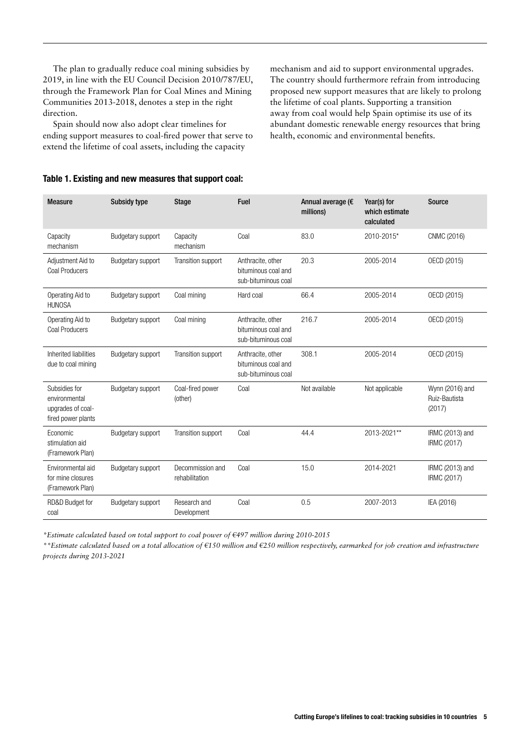The plan to gradually reduce coal mining subsidies by 2019, in line with the EU Council Decision 2010/787/EU, through the Framework Plan for Coal Mines and Mining Communities 2013-2018, denotes a step in the right direction.

Spain should now also adopt clear timelines for ending support measures to coal-fired power that serve to extend the lifetime of coal assets, including the capacity

Table 1. Existing and new measures that support coal:

mechanism and aid to support environmental upgrades. The country should furthermore refrain from introducing proposed new support measures that are likely to prolong the lifetime of coal plants. Supporting a transition away from coal would help Spain optimise its use of its abundant domestic renewable energy resources that bring health, economic and environmental benefits.

| <b>Measure</b> | <b>Subsidy type</b> | Stage | <b>Fuel</b> | Annual average (€ |
|----------------|---------------------|-------|-------------|-------------------|
|                |                     |       |             | millions)         |
|                |                     |       |             |                   |

| <b>Measure</b>                                                            | <b>Subsidy type</b>      | <b>Stage</b>                       | Fuel                                                            | Annual average (€<br>millions) | Year(s) for<br>which estimate<br>calculated | Source                                     |
|---------------------------------------------------------------------------|--------------------------|------------------------------------|-----------------------------------------------------------------|--------------------------------|---------------------------------------------|--------------------------------------------|
| Capacity<br>mechanism                                                     | Budgetary support        | Capacity<br>mechanism              | Coal                                                            | 83.0                           | 2010-2015*                                  | CNMC (2016)                                |
| Adjustment Aid to<br><b>Coal Producers</b>                                | Budgetary support        | Transition support                 | Anthracite, other<br>bituminous coal and<br>sub-bituminous coal | 20.3                           | 2005-2014                                   | OECD (2015)                                |
| Operating Aid to<br><b>HUNOSA</b>                                         | Budgetary support        | Coal mining                        | Hard coal                                                       | 66.4                           | 2005-2014                                   | OECD (2015)                                |
| Operating Aid to<br><b>Coal Producers</b>                                 | Budgetary support        | Coal mining                        | Anthracite, other<br>bituminous coal and<br>sub-bituminous coal | 216.7                          | 2005-2014                                   | OECD (2015)                                |
| Inherited liabilities<br>due to coal mining                               | Budgetary support        | Transition support                 | Anthracite, other<br>bituminous coal and<br>sub-bituminous coal | 308.1                          | 2005-2014                                   | OECD (2015)                                |
| Subsidies for<br>environmental<br>upgrades of coal-<br>fired power plants | Budgetary support        | Coal-fired power<br>(other)        | Coal                                                            | Not available                  | Not applicable                              | Wynn (2016) and<br>Ruiz-Bautista<br>(2017) |
| Economic<br>stimulation aid<br>(Framework Plan)                           | Budgetary support        | Transition support                 | Coal                                                            | 44.4                           | 2013-2021**                                 | IRMC (2013) and<br><b>IRMC (2017)</b>      |
| Environmental aid<br>for mine closures<br>(Framework Plan)                | <b>Budgetary support</b> | Decommission and<br>rehabilitation | Coal                                                            | 15.0                           | 2014-2021                                   | IRMC (2013) and<br>IRMC (2017)             |
| RD&D Budget for<br>coal                                                   | <b>Budgetary support</b> | Research and<br>Development        | Coal                                                            | 0.5                            | 2007-2013                                   | IEA (2016)                                 |

*\*Estimate calculated based on total support to coal power of €497 million during 2010-2015* 

*\*\*Estimate calculated based on a total allocation of €150 million and €250 million respectively, earmarked for job creation and infrastructure projects during 2013-2021*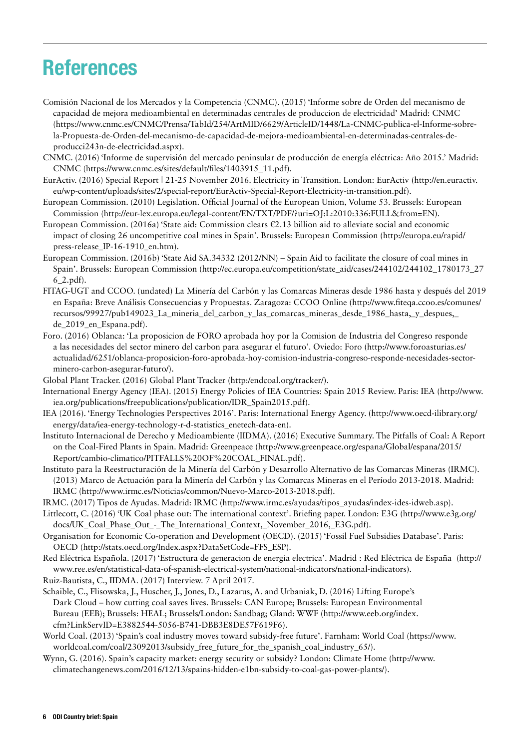# **References**

- Comisión Nacional de los Mercados y la Competencia (CNMC). (2015) 'Informe sobre de Orden del mecanismo de capacidad de mejora medioambiental en determinadas centrales de produccion de electricidad' Madrid: CNMC (https://www.cnmc.es/CNMC/Prensa/TabId/254/ArtMID/6629/ArticleID/1448/La-CNMC-publica-el-Informe-sobrela-Propuesta-de-Orden-del-mecanismo-de-capacidad-de-mejora-medioambiental-en-determinadas-centrales-deproducci243n-de-electricidad.aspx).
- CNMC. (2016) 'Informe de supervisión del mercado peninsular de producción de energía eléctrica: Año 2015.' Madrid: CNMC (https://www.cnmc.es/sites/default/files/1403915\_11.pdf).
- EurActiv. (2016) Special Report | 21-25 November 2016. Electricity in Transition. London: EurActiv (http://en.euractiv. eu/wp-content/uploads/sites/2/special-report/EurActiv-Special-Report-Electricity-in-transition.pdf).
- European Commission. (2010) Legislation. Official Journal of the European Union, Volume 53. Brussels: European Commission (http://eur-lex.europa.eu/legal-content/EN/TXT/PDF/?uri=OJ:L:2010:336:FULL&from=EN).
- European Commission. (2016a) 'State aid: Commission clears €2.13 billion aid to alleviate social and economic impact of closing 26 uncompetitive coal mines in Spain'. Brussels: European Commission (http://europa.eu/rapid/ press-release\_IP-16-1910\_en.htm).
- European Commission. (2016b) 'State Aid SA.34332 (2012/NN) Spain Aid to facilitate the closure of coal mines in Spain'. Brussels: European Commission (http://ec.europa.eu/competition/state\_aid/cases/244102/244102\_1780173\_27 6\_2.pdf).
- FITAG-UGT and CCOO. (undated) La Minería del Carbón y las Comarcas Mineras desde 1986 hasta y después del 2019 en España: Breve Análisis Consecuencias y Propuestas. Zaragoza: CCOO Online (http://www.fiteqa.ccoo.es/comunes/ recursos/99927/pub149023\_La\_mineria\_del\_carbon\_y\_las\_comarcas\_mineras\_desde\_1986\_hasta,\_y\_despues,\_ de\_2019\_en\_Espana.pdf).
- Foro. (2016) Oblanca: 'La proposicion de FORO aprobada hoy por la Comision de Industria del Congreso responde a las necesidades del sector minero del carbon para asegurar el futuro'. Oviedo: Foro (http://www.foroasturias.es/ actualidad/6251/oblanca-proposicion-foro-aprobada-hoy-comision-industria-congreso-responde-necesidades-sectorminero-carbon-asegurar-futuro/).
- Global Plant Tracker. (2016) Global Plant Tracker (http:/endcoal.org/tracker/).
- International Energy Agency (IEA). (2015) Energy Policies of IEA Countries: Spain 2015 Review. Paris: IEA (http://www. iea.org/publications/freepublications/publication/IDR\_Spain2015.pdf).
- IEA (2016). 'Energy Technologies Perspectives 2016'. Paris: International Energy Agency. (http://www.oecd-ilibrary.org/ energy/data/iea-energy-technology-r-d-statistics\_enetech-data-en).
- Instituto Internacional de Derecho y Medioambiente (IIDMA). (2016) Executive Summary. The Pitfalls of Coal: A Report on the Coal-Fired Plants in Spain. Madrid: Greenpeace (http://www.greenpeace.org/espana/Global/espana/2015/ Report/cambio-climatico/PITFALLS%20OF%20COAL\_FINAL.pdf).
- Instituto para la Reestructuración de la Minería del Carbón y Desarrollo Alternativo de las Comarcas Mineras (IRMC). (2013) Marco de Actuación para la Minería del Carbón y las Comarcas Mineras en el Período 2013-2018. Madrid: IRMC (http://www.irmc.es/Noticias/common/Nuevo-Marco-2013-2018.pdf).
- IRMC. (2017) Tipos de Ayudas. Madrid: IRMC (http://www.irmc.es/ayudas/tipos\_ayudas/index-ides-idweb.asp).
- Littlecott, C. (2016) 'UK Coal phase out: The international context'. Briefing paper. London: E3G (http://www.e3g.org/ docs/UK\_Coal\_Phase\_Out\_-\_The\_International\_Context,\_November\_2016,\_E3G.pdf).
- Organisation for Economic Co-operation and Development (OECD). (2015) 'Fossil Fuel Subsidies Database'. Paris: OECD (http://stats.oecd.org/Index.aspx?DataSetCode=FFS\_ESP).
- Red Eléctrica Española. (2017) 'Estructura de generacion de energia electrica'. Madrid : Red Eléctrica de España (http:// www.ree.es/en/statistical-data-of-spanish-electrical-system/national-indicators/national-indicators).
- Ruiz-Bautista, C., IIDMA. (2017) Interview. 7 April 2017.
- Schaible, C., Flisowska, J., Huscher, J., Jones, D., Lazarus, A. and Urbaniak, D. (2016) Lifting Europe's Dark Cloud – how cutting coal saves lives. Brussels: CAN Europe; Brussels: European Environmental Bureau (EEB); Brussels: HEAL; Brussels/London: Sandbag; Gland: WWF (http://www.eeb.org/index. cfm?LinkServID=E3882544-5056-B741-DBB3E8DE57F619F6).
- World Coal. (2013) 'Spain's coal industry moves toward subsidy-free future'. Farnham: World Coal (https://www. worldcoal.com/coal/23092013/subsidy\_free\_future\_for\_the\_spanish\_coal\_industry\_65/).
- Wynn, G. (2016). Spain's capacity market: energy security or subsidy? London: Climate Home (http://www. climatechangenews.com/2016/12/13/spains-hidden-e1bn-subsidy-to-coal-gas-power-plants/).